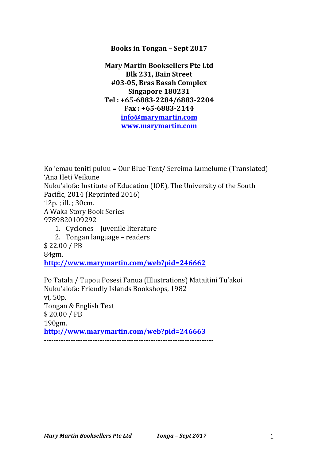## **Books in Tongan - Sept 2017**

**Mary Martin Booksellers Pte Ltd Blk 231, Bain Street #03-05, Bras Basah Complex Singapore 180231 Tel : +65-6883-2284/6883-2204 Fax : +65-6883-2144 info@marymartin.com www.marymartin.com**

Ko 'emau teniti puluu = Our Blue Tent/ Sereima Lumelume (Translated) 'Ana Heti Veikune Nuku'alofa: Institute of Education (IOE), The University of the South Pacific, 2014 (Reprinted 2016) 12p.; ill.; 30cm. A Waka Story Book Series 9789820109292 1. Cyclones - Juvenile literature 2. Tongan language – readers \$ 22.00 / PB 84gm. **http://www.marymartin.com/web?pid=246662** ---------------------------------------------------------------------- Po Tatala / Tupou Posesi Fanua (Illustrations) Mataitini Tu'akoi Nuku'alofa: Friendly Islands Bookshops, 1982 vi, 50p. Tongan & English Text \$ 20.00 / PB 190gm. **http://www.marymartin.com/web?pid=246663** ----------------------------------------------------------------------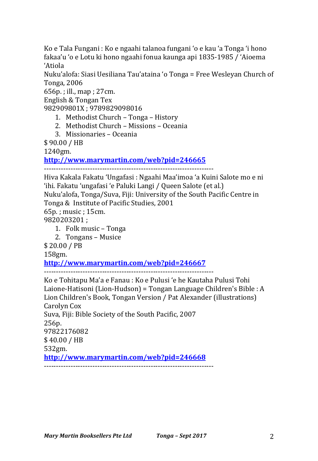Ko e Tala Fungani : Ko e ngaahi talanoa fungani 'o e kau 'a Tonga 'i hono fakaa'u 'o e Lotu ki hono ngaahi fonua kaunga api 1835-1985 / 'Aioema 'Atiola

Nuku'alofa: Siasi Uesiliana Tau'ataina 'o Tonga = Free Wesleyan Church of Tonga, 2006

 $656p.$ ; ill., map ;  $27cm.$ 

English & Tongan Tex

982909801X: 9789829098016

- 1. Methodist Church Tonga History
- 2. Methodist Church Missions Oceania
- 3. Missionaries Oceania

\$ 90.00 / HB

1240gm.

**http://www.marymartin.com/web?pid=246665**

----------------------------------------------------------------------

Hiva Kakala Fakatu 'Ungafasi : Ngaahi Maa'imoa 'a Kuini Salote mo e ni 'ihi. Fakatu 'ungafasi 'e Paluki Langi / Queen Salote (et al.) Nuku'alofa, Tonga/Suva, Fiji: University of the South Pacific Centre in Tonga & Institute of Pacific Studies, 2001 65p.; music; 15cm. 9820203201 :

1. Folk music – Tonga

2. Tongans – Musice

\$ 20.00 / PB

158gm.

## **http://www.marymartin.com/web?pid=246667**

----------------------------------------------------------------------

Ko e Tohitapu Ma'a e Fanau : Ko e Pulusi 'e he Kautaha Pulusi Tohi Laione-Hatisoni (Lion-Hudson) = Tongan Language Children's Bible : A Lion Children's Book, Tongan Version / Pat Alexander (illustrations) Carolyn Cox Suva, Fiji: Bible Society of the South Pacific, 2007 256p. 97822176082 \$ 40.00 / HB 532gm. **http://www.marymartin.com/web?pid=246668** ----------------------------------------------------------------------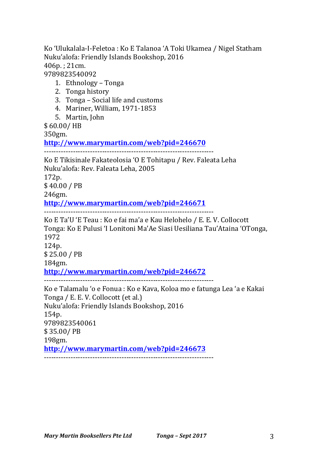Ko 'Ulukalala-I-Feletoa : Ko E Talanoa 'A Toki Ukamea / Nigel Statham Nuku'alofa: Friendly Islands Bookshop, 2016 406p. ; 21cm. 9789823540092

- 1. Ethnology Tonga
- 2. Tonga history
- 3. Tonga Social life and customs
- 4. Mariner, William, 1971-1853
- 5. Martin, John
- \$ 60.00/ HB

350gm.

**http://www.marymartin.com/web?pid=246670**

----------------------------------------------------------------------

Ko E Tikisinale Fakateolosia 'O E Tohitapu / Rev. Faleata Leha Nuku'alofa: Rev. Faleata Leha, 2005

172p.

\$ 40.00 / PB

246gm.

## **http://www.marymartin.com/web?pid=246671**

----------------------------------------------------------------------

Ko E Ta'U 'E Teau : Ko e fai ma'a e Kau Helohelo / E. E. V. Collocott Tonga: Ko E Pulusi 'I Lonitoni Ma'Ae Siasi Uesiliana Tau'Ataina 'OTonga, 1972 124p. \$ 25.00 / PB 184gm. **http://www.marymartin.com/web?pid=246672** ---------------------------------------------------------------------- Ko e Talamalu 'o e Fonua : Ko e Kava, Koloa mo e fatunga Lea 'a e Kakai Tonga / E. E. V. Collocott (et al.) Nuku'alofa: Friendly Islands Bookshop, 2016 154p. 9789823540061

\$ 35.00/ PB

198gm.

**http://www.marymartin.com/web?pid=246673**

----------------------------------------------------------------------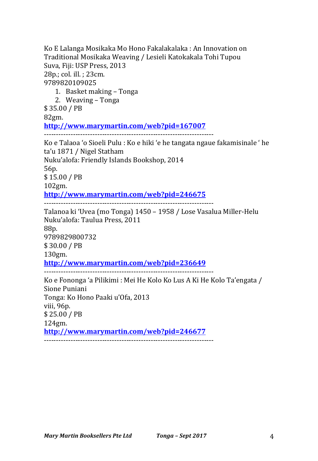Ko E Lalanga Mosikaka Mo Hono Fakalakalaka : An Innovation on Traditional Mosikaka Weaving / Lesieli Katokakala Tohi Tupou Suva, Fiji: USP Press, 2013 28p.; col. ill. ; 23cm. 9789820109025 1. Basket making – Tonga 2. Weaving – Tonga \$ 35.00 / PB 82gm. **http://www.marymartin.com/web?pid=167007** ---------------------------------------------------------------------- Ko e Talaoa 'o Sioeli Pulu : Ko e hiki 'e he tangata ngaue fakamisinale ' he ta'u 1871 / Nigel Statham Nuku'alofa: Friendly Islands Bookshop, 2014 56p. \$ 15.00 / PB 102gm. **http://www.marymartin.com/web?pid=246675** ---------------------------------------------------------------------- Talanoa ki 'Uvea (mo Tonga) 1450 - 1958 / Lose Vasalua Miller-Helu Nuku'alofa: Taulua Press, 2011 88p. 9789829800732 \$ 30.00 / PB 130gm. **http://www.marymartin.com/web?pid=236649** ---------------------------------------------------------------------- Ko e Fononga 'a Pilikimi : Mei He Kolo Ko Lus A Ki He Kolo Ta'engata / Sione Puniani Tonga: Ko Hono Paaki u'Ofa, 2013 viii, 96p. \$ 25.00 / PB 124gm. **http://www.marymartin.com/web?pid=246677** ----------------------------------------------------------------------